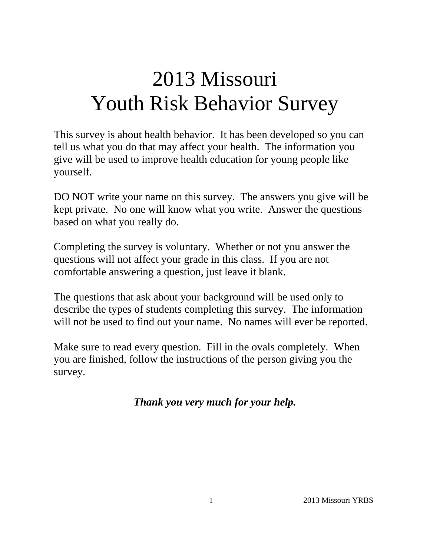# 2013 Missouri Youth Risk Behavior Survey

This survey is about health behavior. It has been developed so you can tell us what you do that may affect your health. The information you give will be used to improve health education for young people like yourself.

DO NOT write your name on this survey. The answers you give will be kept private. No one will know what you write. Answer the questions based on what you really do.

Completing the survey is voluntary. Whether or not you answer the questions will not affect your grade in this class. If you are not comfortable answering a question, just leave it blank.

The questions that ask about your background will be used only to describe the types of students completing this survey. The information will not be used to find out your name. No names will ever be reported.

Make sure to read every question. Fill in the ovals completely. When you are finished, follow the instructions of the person giving you the survey.

*Thank you very much for your help.*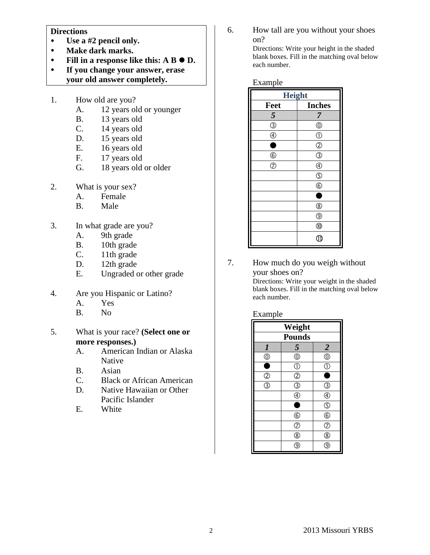#### **Directions**

- **Use a #2 pencil only.**
- **Make dark marks.**
- Fill in a response like this:  $A B \bullet D$ .
- **If you change your answer, erase your old answer completely.**
- 1. How old are you?
	- A. 12 years old or younger
	- B. 13 years old
	- C. 14 years old
	- D. 15 years old
	- E. 16 years old
	- F. 17 years old
	- G. 18 years old or older
- 2. What is your sex?
	- A. Female
	- B. Male
- 3. In what grade are you?
	- A. 9th grade
	- B. 10th grade
	- C. 11th grade
	- D. 12th grade
	- E. Ungraded or other grade
- 4. Are you Hispanic or Latino?
	- A. Yes
	- B. No
- 5. What is your race? **(Select one or more responses.)**
	- A. American Indian or Alaska Native
	- B. Asian
	- C. Black or African American
	- D. Native Hawaiian or Other Pacific Islander
	- E. White

6. How tall are you without your shoes on?

> Directions: Write your height in the shaded blank boxes. Fill in the matching oval below each number.

#### Example

| <b>Height</b>             |                                           |  |
|---------------------------|-------------------------------------------|--|
| Feet                      | <b>Inches</b>                             |  |
| 5                         | 7                                         |  |
| $\circledS$               | $^{\circledR}$                            |  |
| $\overline{\circledcirc}$ | $\circled{0}$                             |  |
| ۸                         | $^{\circledR}$                            |  |
| $6$                       | $\overline{\textcircled{\scriptsize{3}}}$ |  |
| $\overline{\circ}$        | $^{\circledR}$                            |  |
|                           | $\circledS$                               |  |
|                           | $\circledS$                               |  |
|                           | ٠                                         |  |
|                           | $^\circledR$                              |  |
|                           | $^{\circledR}$                            |  |
|                           | $^{\circledR}$                            |  |
|                           | J.                                        |  |

7. How much do you weigh without your shoes on?

> Directions: Write your weight in the shaded blank boxes. Fill in the matching oval below each number.

#### Example

| Weight                               |                          |                                                         |  |
|--------------------------------------|--------------------------|---------------------------------------------------------|--|
| <b>Pounds</b>                        |                          |                                                         |  |
| $\boldsymbol{l}$                     | 5                        |                                                         |  |
| $^{\circledR}$                       | $\overline{\circ}$       | $\frac{2}{\circledcirc}$                                |  |
|                                      | $\overline{\mathbb{O}}$  | Œ                                                       |  |
| $\mathcal{Q}$                        | $\circled{2}$            | ٠                                                       |  |
| $\overline{\textcircled{\small{3}}}$ | ③                        | T                                                       |  |
|                                      | $\overline{\circledast}$ | $\circledast$                                           |  |
|                                      | ۰                        | $\frac{\textcircled{\tiny{R}}}{\textcircled{\tiny{R}}}$ |  |
|                                      | $^{\circ}$               |                                                         |  |
|                                      | $\overline{C}$           | $\overline{C}$                                          |  |
|                                      | $^\circledR$             | ®                                                       |  |
|                                      | g                        |                                                         |  |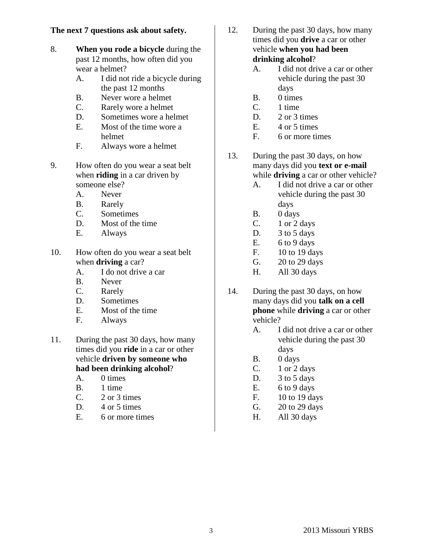# **The next 7 questions ask about safety.**

- 8. **When you rode a bicycle** during the past 12 months, how often did you wear a helmet?
	- A. I did not ride a bicycle during the past 12 months
	- B. Never wore a helmet
	- C. Rarely wore a helmet
	- D. Sometimes wore a helmet
	- E. Most of the time wore a helmet
	- F. Always wore a helmet
- 9. How often do you wear a seat belt when **riding** in a car driven by someone else?
	- A. Never
	- B. Rarely
	- C. Sometimes
	- D. Most of the time
	- E. Always
- 10. How often do you wear a seat belt when **driving** a car?
	- A. I do not drive a car
	- B. Never
	- C. Rarely
	- D. Sometimes
	- E. Most of the time
	- F. Always
- 11. During the past 30 days, how many times did you **ride** in a car or other vehicle **driven by someone who had been drinking alcohol**?
	- A. 0 times
	- B. 1 time
	- C. 2 or 3 times
	- D. 4 or 5 times
	- E. 6 or more times
- 12. During the past 30 days, how many times did you **drive** a car or other vehicle **when you had been drinking alcohol**?
	- A. I did not drive a car or other vehicle during the past 30 days
	- B. 0 times
	- C. 1 time
	- D. 2 or 3 times
	- E. 4 or 5 times
	- F. 6 or more times
- 13. During the past 30 days, on how many days did you **text or e-mail** while **driving** a car or other vehicle?
	- A. I did not drive a car or other vehicle during the past 30 days
	- B. 0 days
	- C. 1 or 2 days
	- D. 3 to 5 days
	- E.  $6 to 9 days$
	- F. 10 to 19 days
	- G. 20 to 29 days
	- H. All 30 days
- 14. During the past 30 days, on how many days did you **talk on a cell phone** while **driving** a car or other vehicle?
	- A. I did not drive a car or other vehicle during the past 30 days
	- B. 0 days
	- $C.$  1 or 2 days
	- D. 3 to 5 days
	- E.  $6 to 9 days$
	- F. 10 to 19 days
	- G. 20 to 29 days
	- H. All 30 days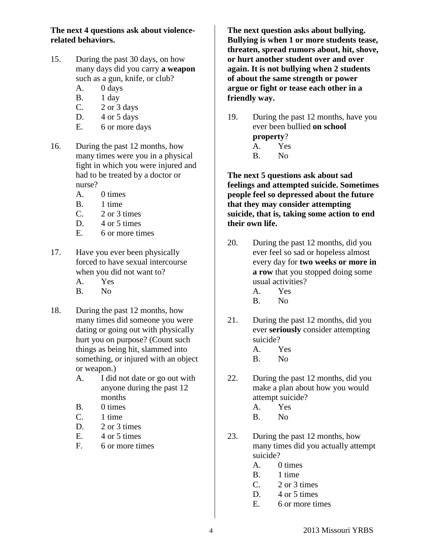**The next 4 questions ask about violencerelated behaviors.**

- 15. During the past 30 days, on how many days did you carry **a weapon** such as a gun, knife, or club?
	- A. 0 days
	- B. 1 day
	- C. 2 or 3 days
	- D.  $4$  or  $5$  days
	- E. 6 or more days
- 16. During the past 12 months, how many times were you in a physical fight in which you were injured and had to be treated by a doctor or nurse?
	- A. 0 times
	- B. 1 time
	- C. 2 or 3 times
	- D. 4 or 5 times
	- E. 6 or more times
- 17. Have you ever been physically forced to have sexual intercourse when you did not want to?
	- A. Yes
	- B. No
- 18. During the past 12 months, how many times did someone you were dating or going out with physically hurt you on purpose? (Count such things as being hit, slammed into something, or injured with an object or weapon.)
	- A. I did not date or go out with anyone during the past 12 months
	- B. 0 times
	- C. 1 time
	- D. 2 or 3 times
	- E.  $4$  or 5 times
	- F. 6 or more times

**The next question asks about bullying. Bullying is when 1 or more students tease, threaten, spread rumors about, hit, shove, or hurt another student over and over again. It is not bullying when 2 students of about the same strength or power argue or fight or tease each other in a friendly way.**

19. During the past 12 months, have you ever been bullied **on school property**?

| $P_{1}$ |     |
|---------|-----|
| A.      | Yes |

B. No

**The next 5 questions ask about sad feelings and attempted suicide. Sometimes people feel so depressed about the future that they may consider attempting suicide, that is, taking some action to end their own life.**

- 20. During the past 12 months, did you ever feel so sad or hopeless almost every day for **two weeks or more in a row** that you stopped doing some usual activities?
	- A. Yes
	- B. No
- 21. During the past 12 months, did you ever **seriously** consider attempting suicide?
	- A. Yes
	- B. No
- 22. During the past 12 months, did you make a plan about how you would attempt suicide?
	- A. Yes
	- B. No
- 23. During the past 12 months, how many times did you actually attempt suicide?
	- A. 0 times
	- B. 1 time
	- $C. 2$  or 3 times
	- D. 4 or 5 times
	- E. 6 or more times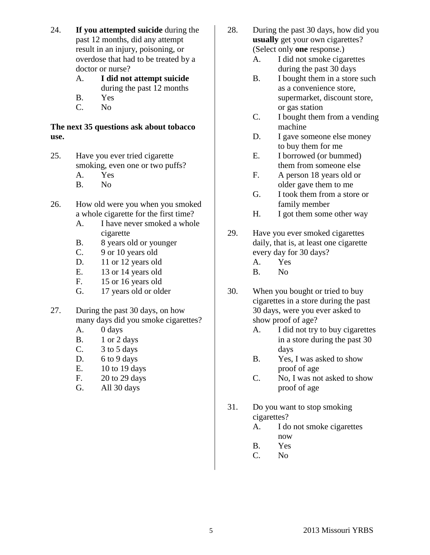- 24. **If you attempted suicide** during the past 12 months, did any attempt result in an injury, poisoning, or overdose that had to be treated by a doctor or nurse?
	- A. **I did not attempt suicide** during the past 12 months
	- B. Yes
	- C. No

## **The next 35 questions ask about tobacco use.**

- 25. Have you ever tried cigarette smoking, even one or two puffs? A. Yes
	- B. No
- 26. How old were you when you smoked a whole cigarette for the first time?
	- A. I have never smoked a whole cigarette
	- B. 8 years old or younger
	- C. 9 or 10 years old
	- D. 11 or 12 years old
	- E. 13 or 14 years old
	- F. 15 or 16 years old
	- G. 17 years old or older
- 27. During the past 30 days, on how many days did you smoke cigarettes?
	- A. 0 days
	- B. 1 or 2 days
	- C. 3 to 5 days
	- D.  $6$  to  $9$  days
	- E. 10 to 19 days
	- F. 20 to 29 days
	- G. All 30 days
- 28. During the past 30 days, how did you **usually** get your own cigarettes? (Select only **one** response.)
	- A. I did not smoke cigarettes during the past 30 days
	- B. I bought them in a store such as a convenience store, supermarket, discount store, or gas station
	- C. I bought them from a vending machine
	- D. I gave someone else money to buy them for me
	- E. I borrowed (or bummed) them from someone else
	- F. A person 18 years old or older gave them to me
	- G. I took them from a store or family member
	- H. I got them some other way
- 29. Have you ever smoked cigarettes daily, that is, at least one cigarette every day for 30 days?
	- A. Yes
	- B. No
- 30. When you bought or tried to buy cigarettes in a store during the past 30 days, were you ever asked to show proof of age?
	- A. I did not try to buy cigarettes in a store during the past 30 days
	- B. Yes, I was asked to show proof of age
	- C. No, I was not asked to show proof of age
- 31. Do you want to stop smoking cigarettes?
	- A. I do not smoke cigarettes now
	- B. Yes
	- C. No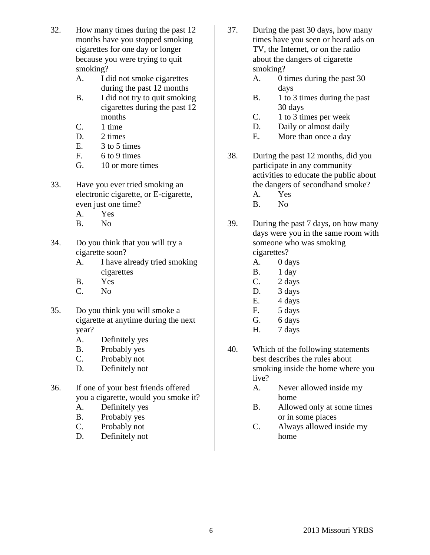- 32. How many times during the past 12 months have you stopped smoking cigarettes for one day or longer because you were trying to quit smoking?
	- A. I did not smoke cigarettes during the past 12 months
	- B. I did not try to quit smoking cigarettes during the past 12 months
	- C. 1 time
	- D. 2 times
	- E. 3 to 5 times
	- F.  $6 \text{ to } 9 \text{ times}$
	- G. 10 or more times
- 33. Have you ever tried smoking an electronic cigarette, or E-cigarette, even just one time?
	- A. Yes
	- B. No
- 34. Do you think that you will try a cigarette soon?
	- A. I have already tried smoking cigarettes
	- B. Yes
	- C. No
- 35. Do you think you will smoke a cigarette at anytime during the next year?
	- A. Definitely yes
	- B. Probably yes
	- C. Probably not
	- D. Definitely not
- 36. If one of your best friends offered you a cigarette, would you smoke it?
	- A. Definitely yes
	- B. Probably yes
	- C. Probably not
	- D. Definitely not
- 37. During the past 30 days, how many times have you seen or heard ads on TV, the Internet, or on the radio about the dangers of cigarette smoking?
	- A. 0 times during the past 30 days
	- B. 1 to 3 times during the past 30 days
	- C. 1 to 3 times per week
	- D. Daily or almost daily
	- E. More than once a day
- 38. During the past 12 months, did you participate in any community activities to educate the public about the dangers of secondhand smoke?
	- A. Yes
	- B. No
- 39. During the past 7 days, on how many days were you in the same room with someone who was smoking cigarettes?
	- A. 0 days
	- B. 1 day
	- C. 2 days
	- D. 3 days
	- E. 4 days
	- F. 5 days
	- G. 6 days
	- H. 7 days
- 40. Which of the following statements best describes the rules about smoking inside the home where you live?
	- A. Never allowed inside my home
	- B. Allowed only at some times or in some places
	- C. Always allowed inside my home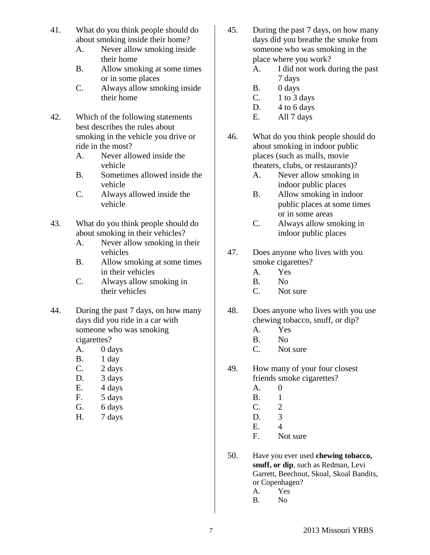- 41. What do you think people should do about smoking inside their home?
	- A. Never allow smoking inside their home
	- B. Allow smoking at some times or in some places
	- C. Always allow smoking inside their home
- 42. Which of the following statements best describes the rules about smoking in the vehicle you drive or ride in the most?
	- A. Never allowed inside the vehicle
	- B. Sometimes allowed inside the vehicle
	- C. Always allowed inside the vehicle
- 43. What do you think people should do about smoking in their vehicles?
	- A. Never allow smoking in their vehicles
	- B. Allow smoking at some times in their vehicles
	- C. Always allow smoking in their vehicles
- 44. During the past 7 days, on how many days did you ride in a car with someone who was smoking cigarettes?
	- A. 0 days
	- B. 1 day
	- C. 2 days
	- D. 3 days
	- E. 4 days
	- F. 5 days
	- G. 6 days
	- H. 7 days
- 45. During the past 7 days, on how many days did you breathe the smoke from someone who was smoking in the place where you work?
	- A. I did not work during the past 7 days
	- B. 0 days
	- $C.$  1 to 3 days
	- D. 4 to 6 days
	- E. All 7 days
- 46. What do you think people should do about smoking in indoor public places (such as malls, movie theaters, clubs, or restaurants)?
	- A. Never allow smoking in indoor public places
	- B. Allow smoking in indoor public places at some times or in some areas
	- C. Always allow smoking in indoor public places
- 47. Does anyone who lives with you smoke cigarettes?
	- A. Yes
	- B. No
	- C. Not sure
- 48. Does anyone who lives with you use chewing tobacco, snuff, or dip?
	- A. Yes
	- B. No
	- C. Not sure
- 49. How many of your four closest friends smoke cigarettes?
	- A. 0
	- B. 1
	- C. 2
	- D. 3
	- E. 4
	- F. Not sure
- 50. Have you ever used **chewing tobacco, snuff, or dip**, such as Redman, Levi Garrett, Beechnut, Skoal, Skoal Bandits, or Copenhagen?
	- A. Yes
	- B. No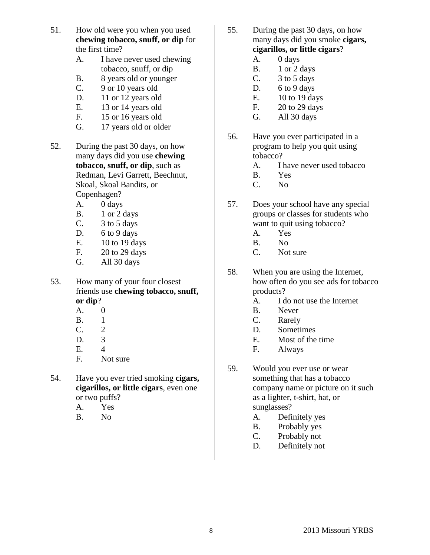- 51. How old were you when you used **chewing tobacco, snuff, or dip** for the first time?
	- A. I have never used chewing tobacco, snuff, or dip
	- B. 8 years old or younger
	- C. 9 or 10 years old
	- D. 11 or 12 years old
	- E. 13 or 14 years old
	- F. 15 or 16 years old
	- G. 17 years old or older
- 52. During the past 30 days, on how many days did you use **chewing tobacco, snuff, or dip**, such as Redman, Levi Garrett, Beechnut, Skoal, Skoal Bandits, or Copenhagen?
	- A. 0 days
	- B. 1 or 2 days
	- C. 3 to 5 days
	- D. 6 to 9 days
	- E. 10 to 19 days
	- F. 20 to 29 days
	- G. All 30 days

53. How many of your four closest friends use **chewing tobacco, snuff, or dip**?

- A. 0
- B. 1
- C. 2
- D. 3
- E. 4
- F. Not sure
- 54. Have you ever tried smoking **cigars, cigarillos, or little cigars**, even one or two puffs?
	- A. Yes
	- B. No
- 55. During the past 30 days, on how many days did you smoke **cigars, cigarillos, or little cigars**?
	- A. 0 days
	- B. 1 or 2 days
	- C.  $3 \text{ to } 5 \text{ days}$
	- D. 6 to 9 days
	- E. 10 to 19 days
	- F. 20 to 29 days
	- G. All 30 days
- 56. Have you ever participated in a program to help you quit using tobacco?
	- A. I have never used tobacco
	- B. Yes
	- C. No
- 57. Does your school have any special groups or classes for students who want to quit using tobacco?
	- A. Yes
	- B. No
	- C. Not sure
- 58. When you are using the Internet, how often do you see ads for tobacco products?
	- A. I do not use the Internet
	- B. Never
	- C. Rarely
	- D. Sometimes
	- E. Most of the time
	- F. Always
- 59. Would you ever use or wear something that has a tobacco company name or picture on it such as a lighter, t-shirt, hat, or sunglasses?
	- A. Definitely yes
	- B. Probably yes
	- C. Probably not
	- D. Definitely not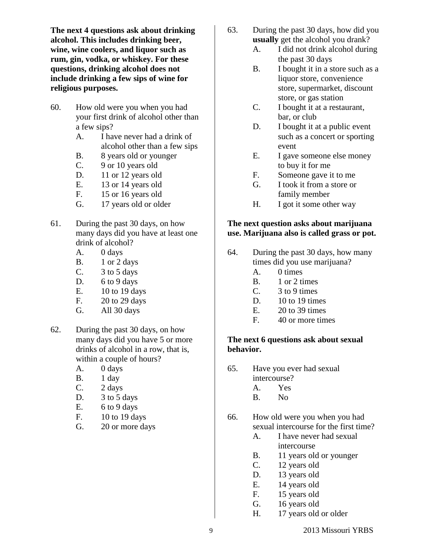**The next 4 questions ask about drinking alcohol. This includes drinking beer, wine, wine coolers, and liquor such as rum, gin, vodka, or whiskey. For these questions, drinking alcohol does not include drinking a few sips of wine for religious purposes.**

- 60. How old were you when you had your first drink of alcohol other than a few sips?
	- A. I have never had a drink of alcohol other than a few sips
	- B. 8 years old or younger
	- C. 9 or 10 years old
	- D. 11 or 12 years old
	- E. 13 or 14 years old
	- F. 15 or 16 years old
	- G. 17 years old or older
- 61. During the past 30 days, on how many days did you have at least one drink of alcohol?
	- A. 0 days
	- B. 1 or 2 days
	- C.  $3 \text{ to } 5 \text{ days}$
	- D. 6 to 9 days
	- E. 10 to 19 days
	- F. 20 to 29 days
	- G. All 30 days
- 62. During the past 30 days, on how many days did you have 5 or more drinks of alcohol in a row, that is, within a couple of hours?
	- A. 0 days
	- B. 1 day
	- C. 2 days
	- D. 3 to 5 days
	- E.  $6 to 9 days$
	- F. 10 to 19 days
	- G. 20 or more days
- 63. During the past 30 days, how did you **usually** get the alcohol you drank?
	- A. I did not drink alcohol during the past 30 days
	- B. I bought it in a store such as a liquor store, convenience store, supermarket, discount store, or gas station
	- C. I bought it at a restaurant, bar, or club
	- D. I bought it at a public event such as a concert or sporting event
	- E. I gave someone else money to buy it for me
	- F. Someone gave it to me
	- G. I took it from a store or family member
	- H. I got it some other way

## **The next question asks about marijuana use. Marijuana also is called grass or pot.**

- 64. During the past 30 days, how many times did you use marijuana?
	- A. 0 times
	- B. 1 or 2 times
	- C. 3 to 9 times
	- D. 10 to 19 times
	- E. 20 to 39 times
	- F. 40 or more times

## **The next 6 questions ask about sexual behavior.**

- 65. Have you ever had sexual
	- intercourse?
	- A. Yes
	- B. No

# 66. How old were you when you had sexual intercourse for the first time?

- A. I have never had sexual intercourse
- B. 11 years old or younger
- C. 12 years old
- D. 13 years old
- E. 14 years old
- F. 15 years old
- G. 16 years old
- H. 17 years old or older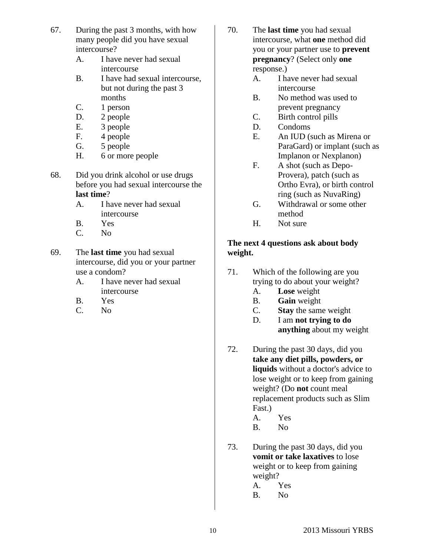- 67. During the past 3 months, with how many people did you have sexual intercourse?
	- A. I have never had sexual intercourse
	- B. I have had sexual intercourse, but not during the past 3 months
	- C. 1 person
	- D. 2 people
	- E. 3 people
	- F. 4 people
	- G. 5 people
	- H. 6 or more people
- 68. Did you drink alcohol or use drugs before you had sexual intercourse the **last time**?
	- A. I have never had sexual intercourse
	- B. Yes
	- C. No
- 69. The **last time** you had sexual intercourse, did you or your partner use a condom?
	- A. I have never had sexual intercourse
	- B. Yes
	- C. No
- 70. The **last time** you had sexual intercourse, what **one** method did you or your partner use to **prevent pregnancy**? (Select only **one**  response.)
	- A. I have never had sexual intercourse
	- B. No method was used to prevent pregnancy
	- C. Birth control pills
	- D. Condoms
	- E. An IUD (such as Mirena or ParaGard) or implant (such as Implanon or Nexplanon)
	- F. A shot (such as Depo-Provera), patch (such as Ortho Evra), or birth control ring (such as NuvaRing)
	- G. Withdrawal or some other method
	- H. Not sure

# **The next 4 questions ask about body weight.**

- 71. Which of the following are you trying to do about your weight?
	- A. **Lose** weight
	- B. **Gain** weight
	- C. **Stay** the same weight
	- D. I am **not trying to do anything** about my weight
- 72. During the past 30 days, did you **take any diet pills, powders, or liquids** without a doctor's advice to lose weight or to keep from gaining weight? (Do **not** count meal replacement products such as Slim Fast.)
	- A. Yes
	- B. No
- 73. During the past 30 days, did you **vomit or take laxatives** to lose weight or to keep from gaining weight?
	- A. Yes
	- B. No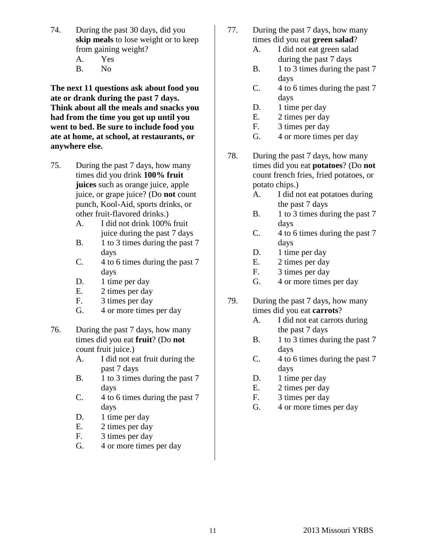- 74. During the past 30 days, did you **skip meals** to lose weight or to keep from gaining weight?
	- A. Yes
	- B. No

**The next 11 questions ask about food you ate or drank during the past 7 days. Think about all the meals and snacks you had from the time you got up until you went to bed. Be sure to include food you ate at home, at school, at restaurants, or anywhere else.**

- 75. During the past 7 days, how many times did you drink **100% fruit juices** such as orange juice, apple juice, or grape juice? (Do **not** count punch, Kool-Aid, sports drinks, or other fruit-flavored drinks.)
	- A. I did not drink 100% fruit juice during the past 7 days
	- B. 1 to 3 times during the past 7 days
	- C. 4 to 6 times during the past 7 days
	- D. 1 time per day
	- E. 2 times per day
	- F. 3 times per day
	- G. 4 or more times per day
- 76. During the past 7 days, how many times did you eat **fruit**? (Do **not** count fruit juice.)
	- A. I did not eat fruit during the past 7 days
	- B. 1 to 3 times during the past 7 days
	- C. 4 to 6 times during the past 7 days
	- D. 1 time per day
	- E. 2 times per day
	- F. 3 times per day
	- G. 4 or more times per day
- 77. During the past 7 days, how many times did you eat **green salad**?
	- A. I did not eat green salad during the past 7 days
	- B. 1 to 3 times during the past 7 days
	- C. 4 to 6 times during the past 7 days
	- D. 1 time per day
	- E. 2 times per day
	- F. 3 times per day
	- G. 4 or more times per day
- 78. During the past 7 days, how many times did you eat **potatoes**? (Do **not** count french fries, fried potatoes, or potato chips.)
	- A. I did not eat potatoes during the past 7 days
	- B. 1 to 3 times during the past 7 days
	- C. 4 to 6 times during the past 7 days
	- D. 1 time per day
	- E. 2 times per day
	- F. 3 times per day
	- G. 4 or more times per day
- 79. During the past 7 days, how many times did you eat **carrots**?
	- A. I did not eat carrots during the past 7 days
	- B. 1 to 3 times during the past 7 days
	- C. 4 to 6 times during the past 7 days
	- D. 1 time per day
	- E. 2 times per day
	- F. 3 times per day
	- G. 4 or more times per day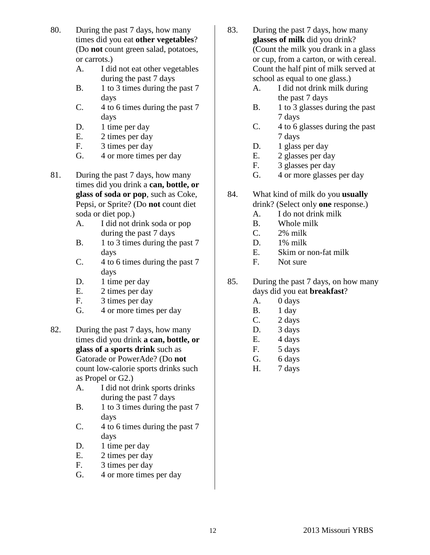- 80. During the past 7 days, how many times did you eat **other vegetables**? (Do **not** count green salad, potatoes, or carrots.)
	- A. I did not eat other vegetables during the past 7 days
	- B. 1 to 3 times during the past 7 days
	- C. 4 to 6 times during the past 7 days
	- D. 1 time per day
	- E. 2 times per day
	- F. 3 times per day
	- G. 4 or more times per day
- 81. During the past 7 days, how many times did you drink a **can, bottle, or glass of soda or pop**, such as Coke, Pepsi, or Sprite? (Do **not** count diet soda or diet pop.)
	- A. I did not drink soda or pop during the past 7 days
	- B. 1 to 3 times during the past 7 days
	- C. 4 to 6 times during the past 7 days
	- D. 1 time per day
	- E. 2 times per day
	- F. 3 times per day
	- G. 4 or more times per day
- 82. During the past 7 days, how many times did you drink **a can, bottle, or glass of a sports drink** such as Gatorade or PowerAde? (Do **not**  count low-calorie sports drinks such as Propel or G2.)
	- A. I did not drink sports drinks during the past 7 days
	- B. 1 to 3 times during the past 7 days
	- C. 4 to 6 times during the past 7 days
	- D. 1 time per day
	- E. 2 times per day
	- F. 3 times per day
	- G. 4 or more times per day
- 83. During the past 7 days, how many **glasses of milk** did you drink? (Count the milk you drank in a glass or cup, from a carton, or with cereal. Count the half pint of milk served at school as equal to one glass.)
	- A. I did not drink milk during the past 7 days
	- B. 1 to 3 glasses during the past 7 days
	- C. 4 to 6 glasses during the past 7 days
	- D. 1 glass per day
	- E. 2 glasses per day
	- F. 3 glasses per day
	- G. 4 or more glasses per day
- 84. What kind of milk do you **usually**  drink? (Select only **one** response.)
	- A. I do not drink milk
	- B. Whole milk
	- C. 2% milk
	- D. 1% milk
	- E. Skim or non-fat milk
	- F. Not sure
- 85. During the past 7 days, on how many days did you eat **breakfast**?
	- A. 0 days
	- B. 1 day
	- C. 2 days
	- D. 3 days
	- E. 4 days
	- F. 5 days
	- G. 6 days
	- H. 7 days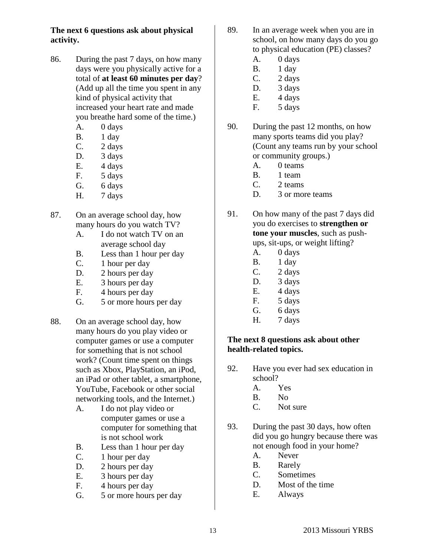**The next 6 questions ask about physical activity.**

- 86. During the past 7 days, on how many days were you physically active for a total of **at least 60 minutes per day**? (Add up all the time you spent in any kind of physical activity that increased your heart rate and made you breathe hard some of the time.)
	- A. 0 days
	- B. 1 day
	- C. 2 days
	- D. 3 days
	- E. 4 days
	- F. 5 days
	- G. 6 days
	- H. 7 days
- 87. On an average school day, how many hours do you watch TV?
	- A. I do not watch TV on an average school day
	- B. Less than 1 hour per day
	- C. 1 hour per day
	- D. 2 hours per day
	- E. 3 hours per day
	- F. 4 hours per day
	- G. 5 or more hours per day
- 88. On an average school day, how many hours do you play video or computer games or use a computer for something that is not school work? (Count time spent on things such as Xbox, PlayStation, an iPod, an iPad or other tablet, a smartphone, YouTube, Facebook or other social networking tools, and the Internet.)
	- A. I do not play video or computer games or use a computer for something that is not school work
	- B. Less than 1 hour per day
	- C. 1 hour per day
	- D. 2 hours per day
	- E. 3 hours per day
	- F. 4 hours per day
	- G. 5 or more hours per day
- 89. In an average week when you are in school, on how many days do you go to physical education (PE) classes?
	- A. 0 days
	- B. 1 day
	- C. 2 days
	- D. 3 days
	- E. 4 days
	- F. 5 days
- 90. During the past 12 months, on how many sports teams did you play? (Count any teams run by your school or community groups.)
	- A. 0 teams
	- B. 1 team
	- C. 2 teams
	- D. 3 or more teams
- 91. On how many of the past 7 days did you do exercises to **strengthen or tone your muscles**, such as pushups, sit-ups, or weight lifting?
	- A. 0 days
	- B. 1 day
	- C. 2 days
	- D. 3 days
	- E. 4 days
	- F. 5 days
	- G. 6 days
	- H. 7 days

## **The next 8 questions ask about other health-related topics.**

- 92. Have you ever had sex education in school?
	- A. Yes
	- B. No
	- C. Not sure
- 93. During the past 30 days, how often did you go hungry because there was not enough food in your home?
	- A. Never
	- B. Rarely
	- C. Sometimes
	- D. Most of the time
	- E. Always